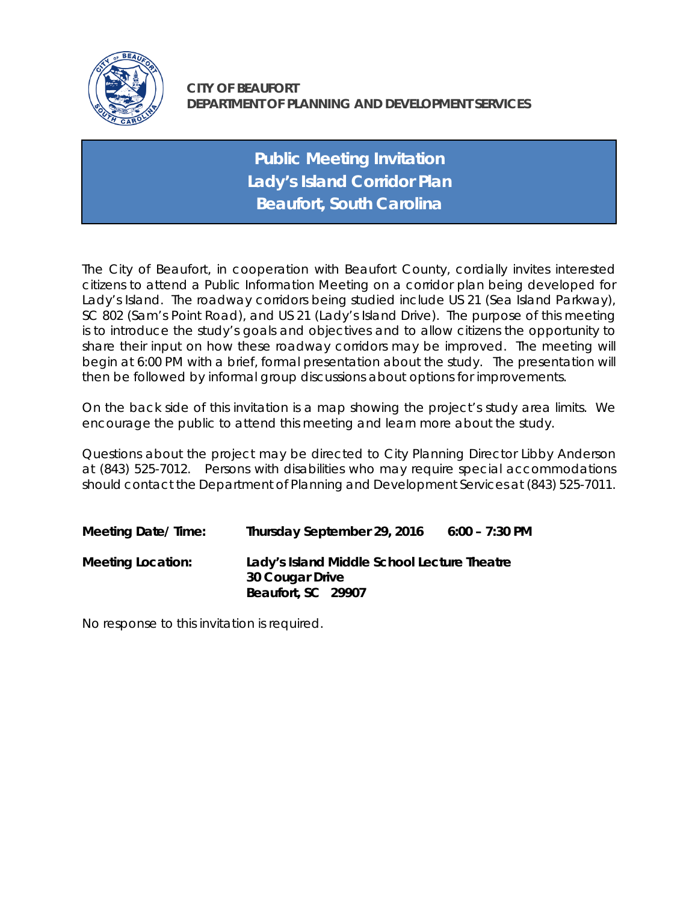

**Public Meeting Invitation Lady's Island Corridor Plan Beaufort, South Carolina**

The City of Beaufort, in cooperation with Beaufort County, cordially invites interested citizens to attend a Public Information Meeting on a corridor plan being developed for Lady's Island. The roadway corridors being studied include US 21 (Sea Island Parkway), SC 802 (Sam's Point Road), and US 21 (Lady's Island Drive). The purpose of this meeting is to introduce the study's goals and objectives and to allow citizens the opportunity to share their input on how these roadway corridors may be improved. The meeting will begin at 6:00 PM with a brief, formal presentation about the study. The presentation will then be followed by informal group discussions about options for improvements.

On the back side of this invitation is a map showing the project's study area limits. We encourage the public to attend this meeting and learn more about the study.

Questions about the project may be directed to City Planning Director Libby Anderson at (843) 525-7012. Persons with disabilities who may require special accommodations should contact the Department of Planning and Development Services at (843) 525-7011.

| Meeting Date/Time: | Thursday September 29, 2016                                                          | $6:00 - 7:30$ PM |
|--------------------|--------------------------------------------------------------------------------------|------------------|
| Meeting Location:  | Lady's Island Middle School Lecture Theatre<br>30 Cougar Drive<br>Beaufort, SC 29907 |                  |

No response to this invitation is required.